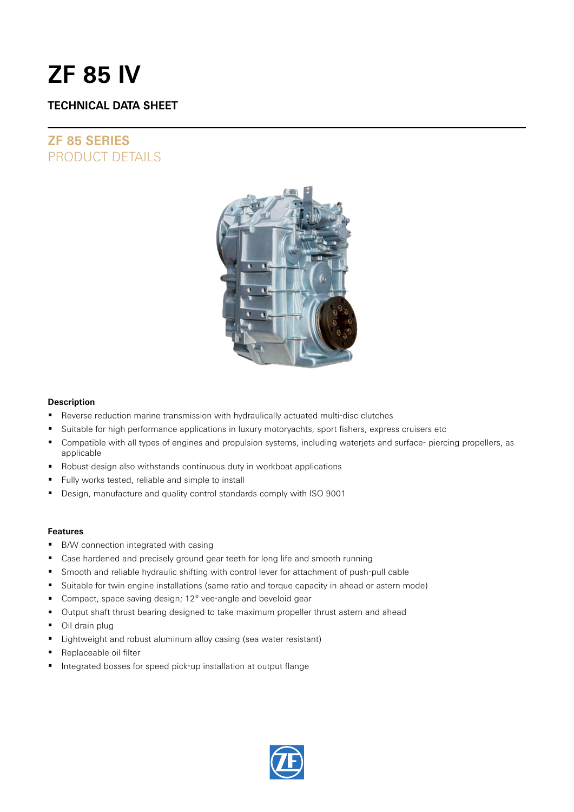# **ZF 85 IV**

### **TECHNICAL DATA SHEET**

## **ZF 85 SERIES** PRODUCT DETAILS



### **Description**

- Reverse reduction marine transmission with hydraulically actuated multi-disc clutches
- **Suitable for high performance applications in luxury motoryachts, sport fishers, express cruisers etc**
- Compatible with all types of engines and propulsion systems, including waterjets and surface- piercing propellers, as applicable
- Robust design also withstands continuous duty in workboat applications
- Fully works tested, reliable and simple to install
- Design, manufacture and quality control standards comply with ISO 9001

### **Features**

- B/W connection integrated with casing
- Case hardened and precisely ground gear teeth for long life and smooth running
- **Smooth and reliable hydraulic shifting with control lever for attachment of push-pull cable**
- Suitable for twin engine installations (same ratio and torque capacity in ahead or astern mode)
- Compact, space saving design; 12° vee-angle and beveloid gear
- Output shaft thrust bearing designed to take maximum propeller thrust astern and ahead
- Oil drain plug
- Lightweight and robust aluminum alloy casing (sea water resistant)
- Replaceable oil filter
- Integrated bosses for speed pick-up installation at output flange

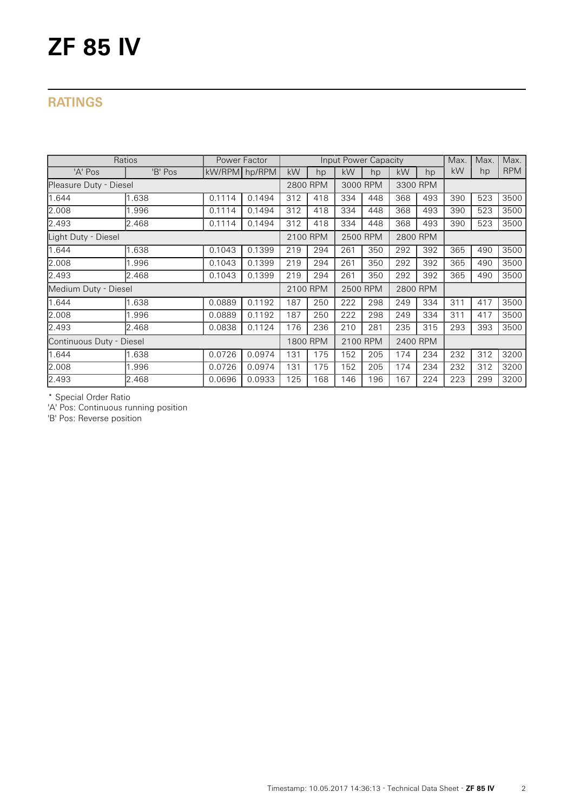# **ZF 85 IV**

## **RATINGS**

| Ratios                   |         | Power Factor  |          |          |          | Input Power Capacity |          |          |     | Max. | Max. | Max.       |
|--------------------------|---------|---------------|----------|----------|----------|----------------------|----------|----------|-----|------|------|------------|
| 'A' Pos                  | 'B' Pos | kW/RPM hp/RPM |          | kW       | hp       | kW                   | hp       | kW       | hp  | kW   | hp   | <b>RPM</b> |
| Pleasure Duty - Diesel   |         |               | 2800 RPM |          | 3000 RPM |                      | 3300 RPM |          |     |      |      |            |
| 1.644                    | .638    | 0.1114        | 0.1494   | 312      | 418      | 334                  | 448      | 368      | 493 | 390  | 523  | 3500       |
| 2.008                    | .996    | 0.1114        | 0.1494   | 312      | 418      | 334                  | 448      | 368      | 493 | 390  | 523  | 3500       |
| 2.493                    | 2.468   | 0.1114        | 0.1494   | 312      | 418      | 334                  | 448      | 368      | 493 | 390  | 523  | 3500       |
| Light Duty - Diesel      |         |               |          | 2100 RPM |          | 2500 RPM             |          | 2800 RPM |     |      |      |            |
| 1.644                    | 1.638   | 0.1043        | 0.1399   | 219      | 294      | 261                  | 350      | 292      | 392 | 365  | 490  | 3500       |
| 2.008                    | .996    | 0.1043        | 0.1399   | 219      | 294      | 261                  | 350      | 292      | 392 | 365  | 490  | 3500       |
| 2.493                    | 2.468   | 0.1043        | 0.1399   | 219      | 294      | 261                  | 350      | 292      | 392 | 365  | 490  | 3500       |
| Medium Duty - Diesel     |         |               |          | 2100 RPM |          | 2500 RPM             |          | 2800 RPM |     |      |      |            |
| 1.644                    | 1.638   | 0.0889        | 0.1192   | 187      | 250      | 222                  | 298      | 249      | 334 | 311  | 417  | 3500       |
| 2.008                    | .996    | 0.0889        | 0.1192   | 187      | 250      | 222                  | 298      | 249      | 334 | 311  | 417  | 3500       |
| 2.493                    | 2.468   | 0.0838        | 0.1124   | 176      | 236      | 210                  | 281      | 235      | 315 | 293  | 393  | 3500       |
| Continuous Duty - Diesel |         |               |          | 1800 RPM |          | 2100 RPM             |          | 2400 RPM |     |      |      |            |
| 1.644                    | 1.638   | 0.0726        | 0.0974   | 131      | 175      | 152                  | 205      | 174      | 234 | 232  | 312  | 3200       |
| 2.008                    | .996    | 0.0726        | 0.0974   | 131      | 175      | 152                  | 205      | 174      | 234 | 232  | 312  | 3200       |
| 2.493                    | 2.468   | 0.0696        | 0.0933   | 125      | 168      | 146                  | 196      | 167      | 224 | 223  | 299  | 3200       |

\* Special Order Ratio

'A' Pos: Continuous running position

'B' Pos: Reverse position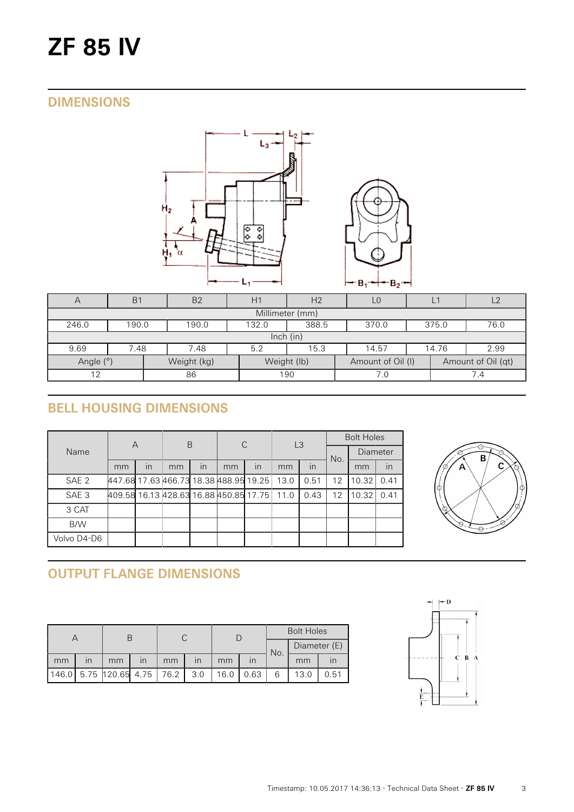# **ZF 85 IV**

## **DIMENSIONS**



| $\overline{A}$                                                                     | B <sub>1</sub>                                             | B <sub>2</sub> | H1<br>H <sub>2</sub> |     |  | L1          | L <sub>2</sub> |  |  |  |  |
|------------------------------------------------------------------------------------|------------------------------------------------------------|----------------|----------------------|-----|--|-------------|----------------|--|--|--|--|
| Millimeter (mm)                                                                    |                                                            |                |                      |     |  |             |                |  |  |  |  |
| 246.0                                                                              | 388.5<br>370.0<br>375.0<br>76.0<br>190.0<br>132.0<br>190.0 |                |                      |     |  |             |                |  |  |  |  |
| lnch (in)                                                                          |                                                            |                |                      |     |  |             |                |  |  |  |  |
| 9.69                                                                               | 2.99<br>7.48<br>15.3<br>14.57<br>14.76<br>7.48<br>5.2      |                |                      |     |  |             |                |  |  |  |  |
| Angle (°)<br>Weight (lb)<br>Amount of Oil (qt)<br>Weight (kg)<br>Amount of Oil (I) |                                                            |                |                      |     |  |             |                |  |  |  |  |
| 86<br>12                                                                           |                                                            |                | 190                  | 7.0 |  | $\sqrt{.4}$ |                |  |  |  |  |

# **BELL HOUSING DIMENSIONS**

|                  | A                                      |    | B  |    | C  |    | L <sub>3</sub> |      | <b>Bolt Holes</b> |                 |      |
|------------------|----------------------------------------|----|----|----|----|----|----------------|------|-------------------|-----------------|------|
| Name             |                                        |    |    |    |    |    |                |      | No.               | <b>Diameter</b> |      |
|                  | mm                                     | In | mm | In | mm | In | mm             | in   |                   | mm              | in   |
| SAE <sub>2</sub> | 447.68 17.63 466.73 18.38 488.95 19.25 |    |    |    |    |    | 13.0           | 0.51 | 12                | 10.32           | 0.41 |
| SAE <sub>3</sub> | 409.58 16.13 428.63 16.88 450.85 17.75 |    |    |    |    |    | 11.0           | 0.43 | $12 \overline{ }$ | 10.32           | 0.41 |
| 3 CAT            |                                        |    |    |    |    |    |                |      |                   |                 |      |
| B/W              |                                        |    |    |    |    |    |                |      |                   |                 |      |
| Volvo D4-D6      |                                        |    |    |    |    |    |                |      |                   |                 |      |



# **OUTPUT FLANGE DIMENSIONS**

|    |    |                             |    |    |                         |      |      | <b>Bolt Holes</b> |              |      |  |
|----|----|-----------------------------|----|----|-------------------------|------|------|-------------------|--------------|------|--|
|    |    |                             |    |    |                         |      |      |                   | Diameter (E) |      |  |
| mm | ın | mm                          | in | mm | $\overline{\mathsf{I}}$ | mm   |      | No.               | mm           |      |  |
|    |    | 146.0 5.75 120.65 4.75 76.2 |    |    | 3.0                     | 16.0 | 0.63 | 6                 | 13.0         | 0.51 |  |